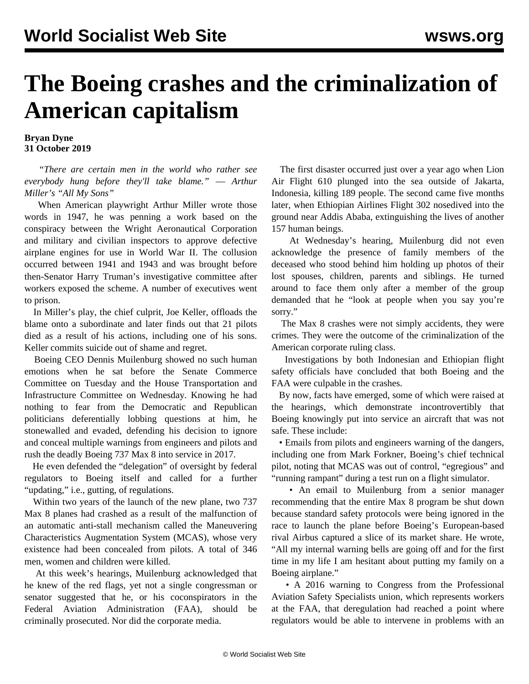## **The Boeing crashes and the criminalization of American capitalism**

## **Bryan Dyne 31 October 2019**

 *"There are certain men in the world who rather see everybody hung before they'll take blame."* — *Arthur Miller's "All My Sons"*

 When American playwright Arthur Miller wrote those words in 1947, he was penning a work based on the conspiracy between the Wright Aeronautical Corporation and military and civilian inspectors to approve defective airplane engines for use in World War II. The collusion occurred between 1941 and 1943 and was brought before then-Senator Harry Truman's investigative committee after workers exposed the scheme. A number of executives went to prison.

 In Miller's play, the chief culprit, Joe Keller, offloads the blame onto a subordinate and later finds out that 21 pilots died as a result of his actions, including one of his sons. Keller commits suicide out of shame and regret.

 Boeing CEO Dennis Muilenburg showed no such human emotions when he sat before the Senate Commerce Committee on Tuesday and the House Transportation and Infrastructure Committee on Wednesday. Knowing he had nothing to fear from the Democratic and Republican politicians deferentially lobbing questions at him, he stonewalled and evaded, defending his decision to ignore and conceal multiple warnings from engineers and pilots and rush the deadly Boeing 737 Max 8 into service in 2017.

 He even defended the "delegation" of oversight by federal regulators to Boeing itself and called for a further "updating," i.e., gutting, of regulations.

 Within two years of the launch of the new plane, two 737 Max 8 planes had crashed as a result of the malfunction of an automatic anti-stall mechanism called the Maneuvering Characteristics Augmentation System (MCAS), whose very existence had been concealed from pilots. A total of 346 men, women and children were killed.

 At this week's hearings, Muilenburg acknowledged that he knew of the red flags, yet not a single congressman or senator suggested that he, or his coconspirators in the Federal Aviation Administration (FAA), should be criminally prosecuted. Nor did the corporate media.

 The first disaster occurred just over a year ago when Lion Air Flight 610 plunged into the sea outside of Jakarta, Indonesia, killing 189 people. The second came five months later, when Ethiopian Airlines Flight 302 nosedived into the ground near Addis Ababa, extinguishing the lives of another 157 human beings.

 At Wednesday's hearing, Muilenburg did not even acknowledge the presence of family members of the deceased who stood behind him holding up photos of their lost spouses, children, parents and siblings. He turned around to face them only after a member of the group demanded that he "look at people when you say you're sorry."

 The Max 8 crashes were not simply accidents, they were crimes. They were the outcome of the criminalization of the American corporate ruling class.

 Investigations by both Indonesian and Ethiopian flight safety officials have concluded that both Boeing and the FAA were culpable in the crashes.

 By now, facts have emerged, some of which were raised at the hearings, which demonstrate incontrovertibly that Boeing knowingly put into service an aircraft that was not safe. These include:

 • Emails from pilots and engineers warning of the dangers, including one from Mark Forkner, Boeing's chief technical pilot, noting that MCAS was out of control, "egregious" and "running rampant" during a test run on a flight simulator.

 • An email to Muilenburg from a senior manager recommending that the entire Max 8 program be shut down because standard safety protocols were being ignored in the race to launch the plane before Boeing's European-based rival Airbus captured a slice of its market share. He wrote, "All my internal warning bells are going off and for the first time in my life I am hesitant about putting my family on a Boeing airplane."

 • A 2016 warning to Congress from the Professional Aviation Safety Specialists union, which represents workers at the FAA, that deregulation had reached a point where regulators would be able to intervene in problems with an